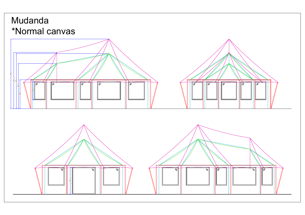## Mudanda

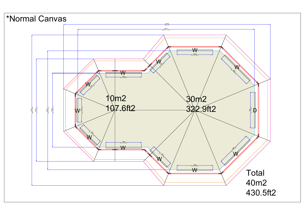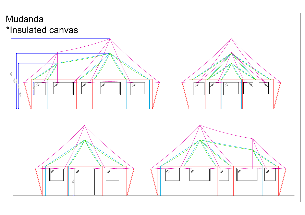## Mudanda



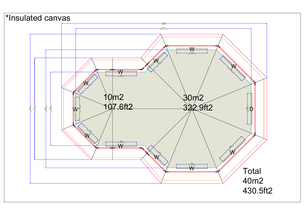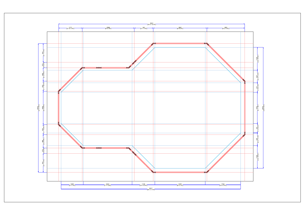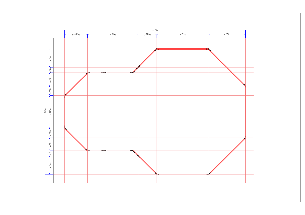